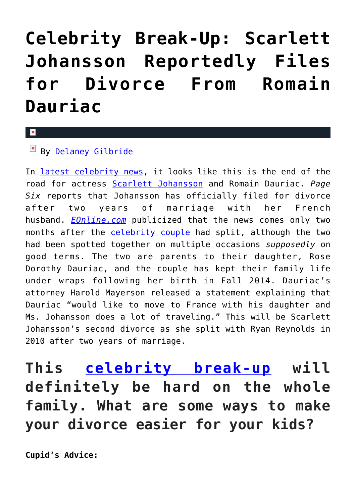## **[Celebrity Break-Up: Scarlett](https://cupidspulse.com/117222/celebrity-break-up-scarlett-johansson-files-divorce-romain-dauriac/) [Johansson Reportedly Files](https://cupidspulse.com/117222/celebrity-break-up-scarlett-johansson-files-divorce-romain-dauriac/) [for Divorce From Romain](https://cupidspulse.com/117222/celebrity-break-up-scarlett-johansson-files-divorce-romain-dauriac/) [Dauriac](https://cupidspulse.com/117222/celebrity-break-up-scarlett-johansson-files-divorce-romain-dauriac/)**

## $\mathbf{x}$

## $By$  [Delaney Gilbride](http://cupidspulse.com/116956/delaney-gilbride/)

In [latest celebrity news,](http://cupidspulse.com) it looks like this is the end of the road for actress [Scarlett Johansson](http://cupidspulse.com/87706/scarlett-johansson/) and Romain Dauriac. *Page Six* reports that Johansson has officially filed for divorce after two years of marriage with her French husband. *[EOnline.com](http://www.eonline.com/news/834467/scarlett-johansson-reportedly-files-for-divorce-from-romain-dauriac-after-two-years-of-marriage)* publicized that the news comes only two months after the [celebrity couple](http://cupidspulse.com/celebrity-news/celebrity-dating/) had split, although the two had been spotted together on multiple occasions *supposedly* on good terms. The two are parents to their daughter, Rose Dorothy Dauriac, and the couple has kept their family life under wraps following her birth in Fall 2014. Dauriac's attorney Harold Mayerson released a statement explaining that Dauriac "would like to move to France with his daughter and Ms. Johansson does a lot of traveling." This will be Scarlett Johansson's second divorce as she split with Ryan Reynolds in 2010 after two years of marriage.

**This [celebrity break-up](http://cupidspulse.com/celebrity-news/celebrity-break-ups/) will definitely be hard on the whole family. What are some ways to make your divorce easier for your kids?**

**Cupid's Advice:**